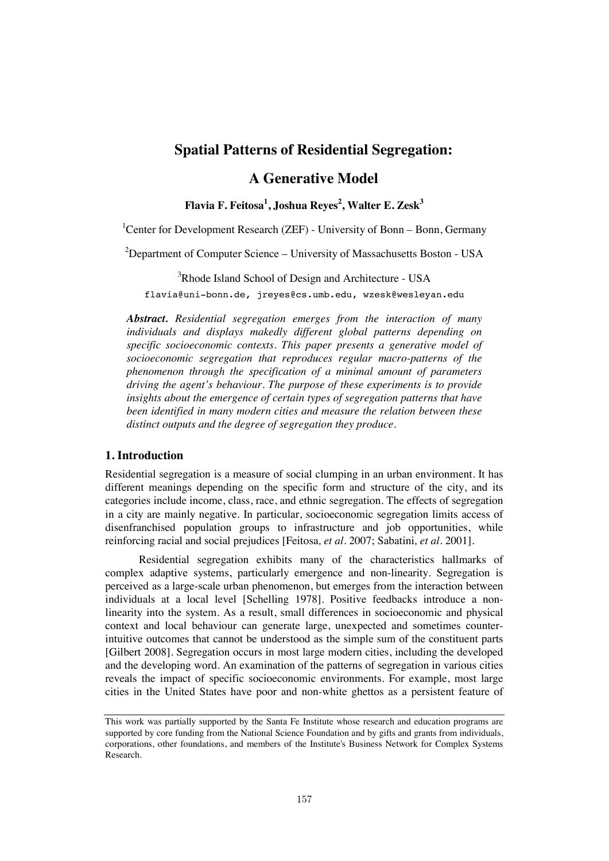# **Spatial Patterns of Residential Segregation:**

# **A Generative Model**

**Flavia F. Feitosa<sup>1</sup> , Joshua Reyes<sup>2</sup> , Walter E. Zesk3**

<sup>1</sup>Center for Development Research (ZEF) - University of Bonn – Bonn, Germany

<sup>2</sup>Department of Computer Science – University of Massachusetts Boston - USA

 $3$ Rhode Island School of Design and Architecture - USA flavia@uni-bonn.de, jreyes@cs.umb.edu, wzesk@wesleyan.edu

*Abstract. Residential segregation emerges from the interaction of many individuals and displays makedly different global patterns depending on specific socioeconomic contexts. This paper presents a generative model of socioeconomic segregation that reproduces regular macro-patterns of the phenomenon through the specification of a minimal amount of parameters driving the agent's behaviour. The purpose of these experiments is to provide insights about the emergence of certain types of segregation patterns that have been identified in many modern cities and measure the relation between these distinct outputs and the degree of segregation they produce.* 

## **1. Introduction**

Residential segregation is a measure of social clumping in an urban environment. It has different meanings depending on the specific form and structure of the city, and its categories include income, class, race, and ethnic segregation. The effects of segregation in a city are mainly negative. In particular, socioeconomic segregation limits access of disenfranchised population groups to infrastructure and job opportunities, while reinforcing racial and social prejudices [Feitosa*, et al.* 2007; Sabatini*, et al.* 2001].

 Residential segregation exhibits many of the characteristics hallmarks of complex adaptive systems, particularly emergence and non-linearity. Segregation is perceived as a large-scale urban phenomenon, but emerges from the interaction between individuals at a local level [Schelling 1978]. Positive feedbacks introduce a nonlinearity into the system. As a result, small differences in socioeconomic and physical context and local behaviour can generate large, unexpected and sometimes counterintuitive outcomes that cannot be understood as the simple sum of the constituent parts [Gilbert 2008]. Segregation occurs in most large modern cities, including the developed and the developing word. An examination of the patterns of segregation in various cities reveals the impact of specific socioeconomic environments. For example, most large cities in the United States have poor and non-white ghettos as a persistent feature of

This work was partially supported by the Santa Fe Institute whose research and education programs are supported by core funding from the National Science Foundation and by gifts and grants from individuals, corporations, other foundations, and members of the Institute's Business Network for Complex Systems Research.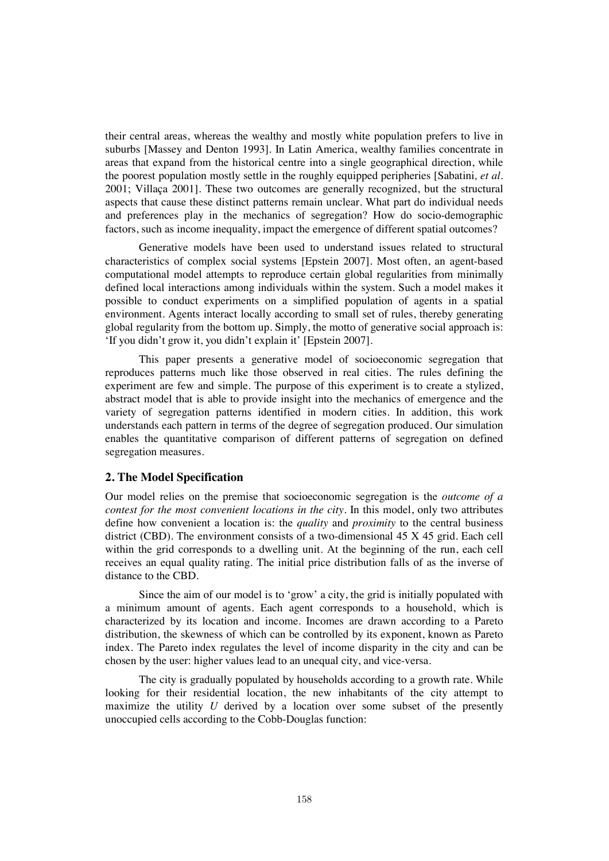their central areas, whereas the wealthy and mostly white population prefers to live in suburbs [Massey and Denton 1993]. In Latin America, wealthy families concentrate in areas that expand from the historical centre into a single geographical direction, while the poorest population mostly settle in the roughly equipped peripheries [Sabatini*, et al.* 2001; Villaça 2001]. These two outcomes are generally recognized, but the structural aspects that cause these distinct patterns remain unclear. What part do individual needs and preferences play in the mechanics of segregation? How do socio-demographic factors, such as income inequality, impact the emergence of different spatial outcomes?

 Generative models have been used to understand issues related to structural characteristics of complex social systems [Epstein 2007]. Most often, an agent-based computational model attempts to reproduce certain global regularities from minimally defined local interactions among individuals within the system. Such a model makes it possible to conduct experiments on a simplified population of agents in a spatial environment. Agents interact locally according to small set of rules, thereby generating global regularity from the bottom up. Simply, the motto of generative social approach is: 'If you didn't grow it, you didn't explain it' [Epstein 2007].

 This paper presents a generative model of socioeconomic segregation that reproduces patterns much like those observed in real cities. The rules defining the experiment are few and simple. The purpose of this experiment is to create a stylized, abstract model that is able to provide insight into the mechanics of emergence and the variety of segregation patterns identified in modern cities. In addition, this work understands each pattern in terms of the degree of segregation produced. Our simulation enables the quantitative comparison of different patterns of segregation on defined segregation measures.

### **2. The Model Specification**

Our model relies on the premise that socioeconomic segregation is the *outcome of a contest for the most convenient locations in the city*. In this model, only two attributes define how convenient a location is: the *quality* and *proximity* to the central business district (CBD). The environment consists of a two-dimensional 45 X 45 grid. Each cell within the grid corresponds to a dwelling unit. At the beginning of the run, each cell receives an equal quality rating. The initial price distribution falls of as the inverse of distance to the CBD.

 Since the aim of our model is to 'grow' a city, the grid is initially populated with a minimum amount of agents. Each agent corresponds to a household, which is characterized by its location and income. Incomes are drawn according to a Pareto distribution, the skewness of which can be controlled by its exponent, known as Pareto index. The Pareto index regulates the level of income disparity in the city and can be chosen by the user: higher values lead to an unequal city, and vice-versa.

 The city is gradually populated by households according to a growth rate. While looking for their residential location, the new inhabitants of the city attempt to maximize the utility *U* derived by a location over some subset of the presently unoccupied cells according to the Cobb-Douglas function: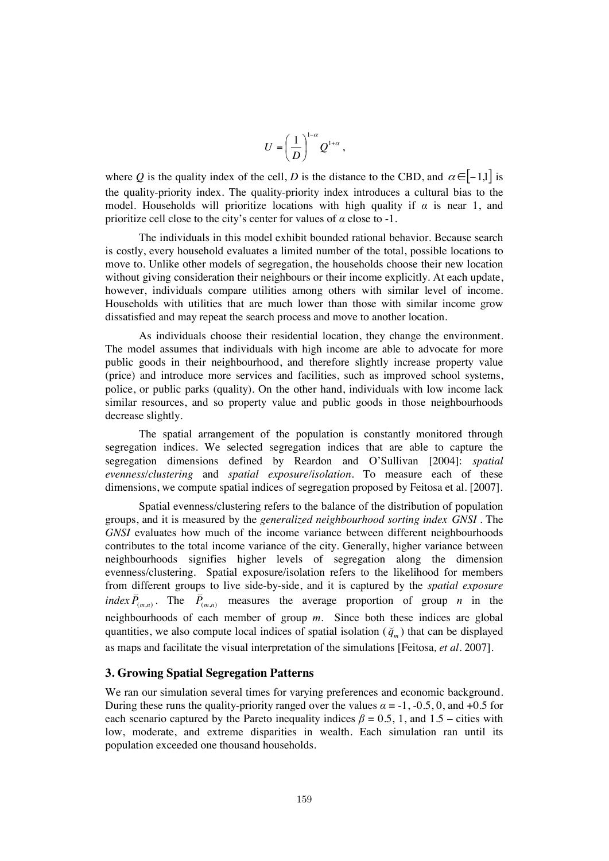$$
U = \left(\frac{1}{D}\right)^{1-\alpha} Q^{1+\alpha},
$$

where *Q* is the quality index of the cell, *D* is the distance to the CBD, and  $\alpha \in [-1,1]$  is the quality-priority index. The quality-priority index introduces a cultural bias to the model. Households will prioritize locations with high quality if  $\alpha$  is near 1, and prioritize cell close to the city's center for values of  $\alpha$  close to -1.

 The individuals in this model exhibit bounded rational behavior. Because search is costly, every household evaluates a limited number of the total, possible locations to move to. Unlike other models of segregation, the households choose their new location without giving consideration their neighbours or their income explicitly. At each update, however, individuals compare utilities among others with similar level of income. Households with utilities that are much lower than those with similar income grow dissatisfied and may repeat the search process and move to another location.

 As individuals choose their residential location, they change the environment. The model assumes that individuals with high income are able to advocate for more public goods in their neighbourhood, and therefore slightly increase property value (price) and introduce more services and facilities, such as improved school systems, police, or public parks (quality). On the other hand, individuals with low income lack similar resources, and so property value and public goods in those neighbourhoods decrease slightly.

 The spatial arrangement of the population is constantly monitored through segregation indices. We selected segregation indices that are able to capture the segregation dimensions defined by Reardon and O'Sullivan [2004]: *spatial evenness/clustering* and *spatial exposure/isolation*. To measure each of these dimensions, we compute spatial indices of segregation proposed by Feitosa et al. [2007].

Spatial evenness/clustering refers to the balance of the distribution of population groups, and it is measured by the *generalized neighbourhood sorting index GNSI* . The *GNSI* evaluates how much of the income variance between different neighbourhoods contributes to the total income variance of the city. Generally, higher variance between neighbourhoods signifies higher levels of segregation along the dimension evenness/clustering. Spatial exposure/isolation refers to the likelihood for members from different groups to live side-by-side, and it is captured by the *spatial exposure index*  $\overline{P}_{(m,n)}$ . The  $\overline{P}_{(m,n)}$  measures the average proportion of group *n* in the neighbourhoods of each member of group *m*. Since both these indices are global quantities, we also compute local indices of spatial isolation ( $\breve{q}_m$ ) that can be displayed as maps and facilitate the visual interpretation of the simulations [Feitosa*, et al.* 2007].

### **3. Growing Spatial Segregation Patterns**

We ran our simulation several times for varying preferences and economic background. During these runs the quality-priority ranged over the values  $\alpha = -1$ , -0.5, 0, and +0.5 for each scenario captured by the Pareto inequality indices  $\beta = 0.5$ , 1, and 1.5 – cities with low, moderate, and extreme disparities in wealth. Each simulation ran until its population exceeded one thousand households.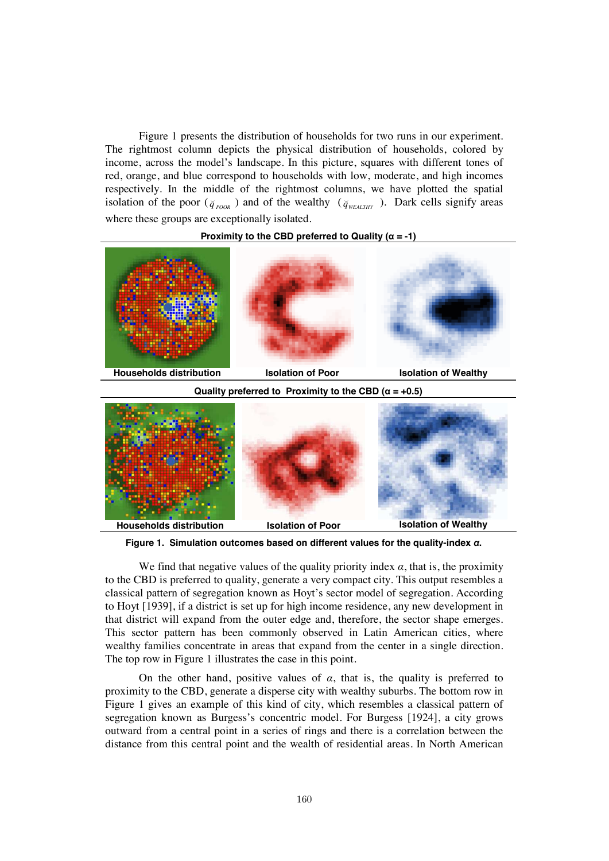Figure 1 presents the distribution of households for two runs in our experiment. The rightmost column depicts the physical distribution of households, colored by income, across the model's landscape. In this picture, squares with different tones of red, orange, and blue correspond to households with low, moderate, and high incomes respectively. In the middle of the rightmost columns, we have plotted the spatial isolation of the poor  $(\bar{q}_{poOR})$  and of the wealthy  $(\bar{q}_{WEAITHY})$ . Dark cells signify areas where these groups are exceptionally isolated.

#### **Proximity to the CBD preferred to Quality (**α **= -1)**



**Quality preferred to Proximity to the CBD (**α **= +0.5)**



**Figure 1. Simulation outcomes based on different values for the quality-index** α**.** 

We find that negative values of the quality priority index  $\alpha$ , that is, the proximity to the CBD is preferred to quality, generate a very compact city. This output resembles a classical pattern of segregation known as Hoyt's sector model of segregation. According to Hoyt [1939], if a district is set up for high income residence, any new development in that district will expand from the outer edge and, therefore, the sector shape emerges. This sector pattern has been commonly observed in Latin American cities, where wealthy families concentrate in areas that expand from the center in a single direction. The top row in Figure 1 illustrates the case in this point.

On the other hand, positive values of  $\alpha$ , that is, the quality is preferred to proximity to the CBD, generate a disperse city with wealthy suburbs. The bottom row in Figure 1 gives an example of this kind of city, which resembles a classical pattern of segregation known as Burgess's concentric model. For Burgess [1924], a city grows outward from a central point in a series of rings and there is a correlation between the distance from this central point and the wealth of residential areas. In North American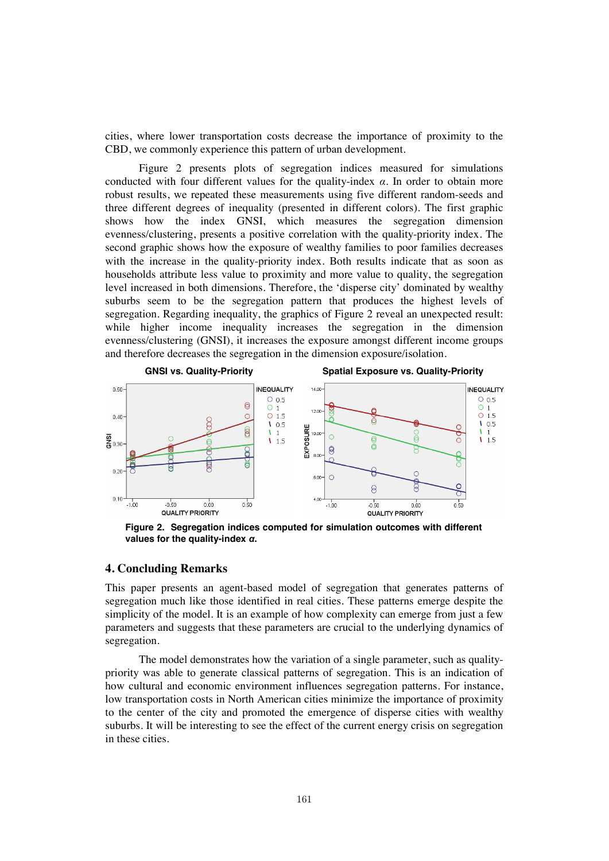cities, where lower transportation costs decrease the importance of proximity to the CBD, we commonly experience this pattern of urban development.

 Figure 2 presents plots of segregation indices measured for simulations conducted with four different values for the quality-index  $\alpha$ . In order to obtain more robust results, we repeated these measurements using five different random-seeds and three different degrees of inequality (presented in different colors). The first graphic shows how the index GNSI, which measures the segregation dimension evenness/clustering, presents a positive correlation with the quality-priority index. The second graphic shows how the exposure of wealthy families to poor families decreases with the increase in the quality-priority index. Both results indicate that as soon as households attribute less value to proximity and more value to quality, the segregation level increased in both dimensions. Therefore, the 'disperse city' dominated by wealthy suburbs seem to be the segregation pattern that produces the highest levels of segregation. Regarding inequality, the graphics of Figure 2 reveal an unexpected result: while higher income inequality increases the segregation in the dimension evenness/clustering (GNSI), it increases the exposure amongst different income groups and therefore decreases the segregation in the dimension exposure/isolation.



**Figure 2. Segregation indices computed for simulation outcomes with different values for the quality-index** α**.** 

### **4. Concluding Remarks**

This paper presents an agent-based model of segregation that generates patterns of segregation much like those identified in real cities. These patterns emerge despite the simplicity of the model. It is an example of how complexity can emerge from just a few parameters and suggests that these parameters are crucial to the underlying dynamics of segregation.

 The model demonstrates how the variation of a single parameter, such as qualitypriority was able to generate classical patterns of segregation. This is an indication of how cultural and economic environment influences segregation patterns. For instance, low transportation costs in North American cities minimize the importance of proximity to the center of the city and promoted the emergence of disperse cities with wealthy suburbs. It will be interesting to see the effect of the current energy crisis on segregation in these cities.